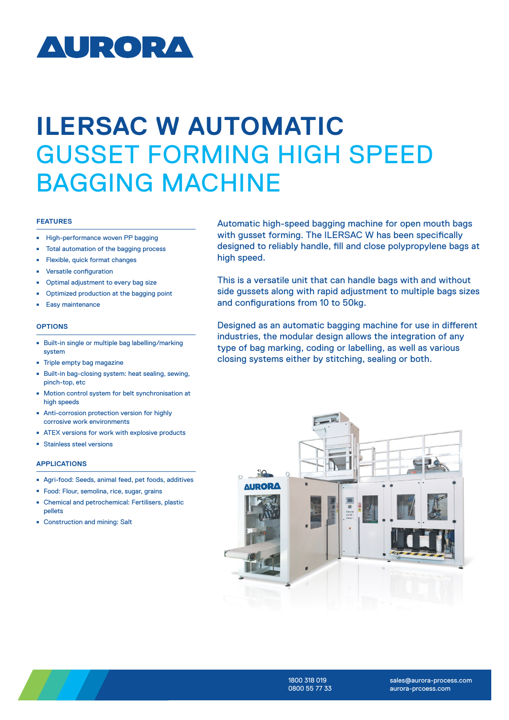# **AURORA**

# **ILERSAC W AUTOMATIC**  GUSSET FORMING HIGH SPEED BAGGING MACHINE

#### **FEATURES**

- High-performance woven PP bagging
- <sup>ȫ</sup> Total automation of the bagging process
- <sup>ȫ</sup> Flexible, quick format changes
- <sup>ȫ</sup> Versatile configuration
- <sup>ȫ</sup> Optimal adjustment to every bag size
- <sup>ȫ</sup> Optimized production at the bagging point
- Easy maintenance

#### **OPTIONS**

- Built-in single or multiple bag labelling/marking system
- <sup>ȫ</sup> Triple empty bag magazine
- Built-in bag-closing system: heat sealing, sewing, pinch-top, etc
- <sup>ȫ</sup> Motion control system for belt synchronisation at high speeds
- Anti-corrosion protection version for highly corrosive work environments
- <sup>ȫ</sup> ATEX versions for work with explosive products
- Stainless steel versions

### **APPLICATIONS**

- Agri-food: Seeds, animal feed, pet foods, additives
- <sup>ȫ</sup> Food: Flour, semolina, rice, sugar, grains
- Chemical and petrochemical: Fertilisers, plastic pellets
- Construction and mining: Salt

Automatic high-speed bagging machine for open mouth bags with gusset forming. The ILERSAC W has been specifically designed to reliably handle, fill and close polypropylene bags at high speed.

This is a versatile unit that can handle bags with and without side gussets along with rapid adjustment to multiple bags sizes and configurations from 10 to 50kg.

Designed as an automatic bagging machine for use in different industries, the modular design allows the integration of any type of bag marking, coding or labelling, as well as various closing systems either by stitching, sealing or both.





1800 318 019 0800 55 77 33

sales@aurora-process.com aurora-prcoess.com